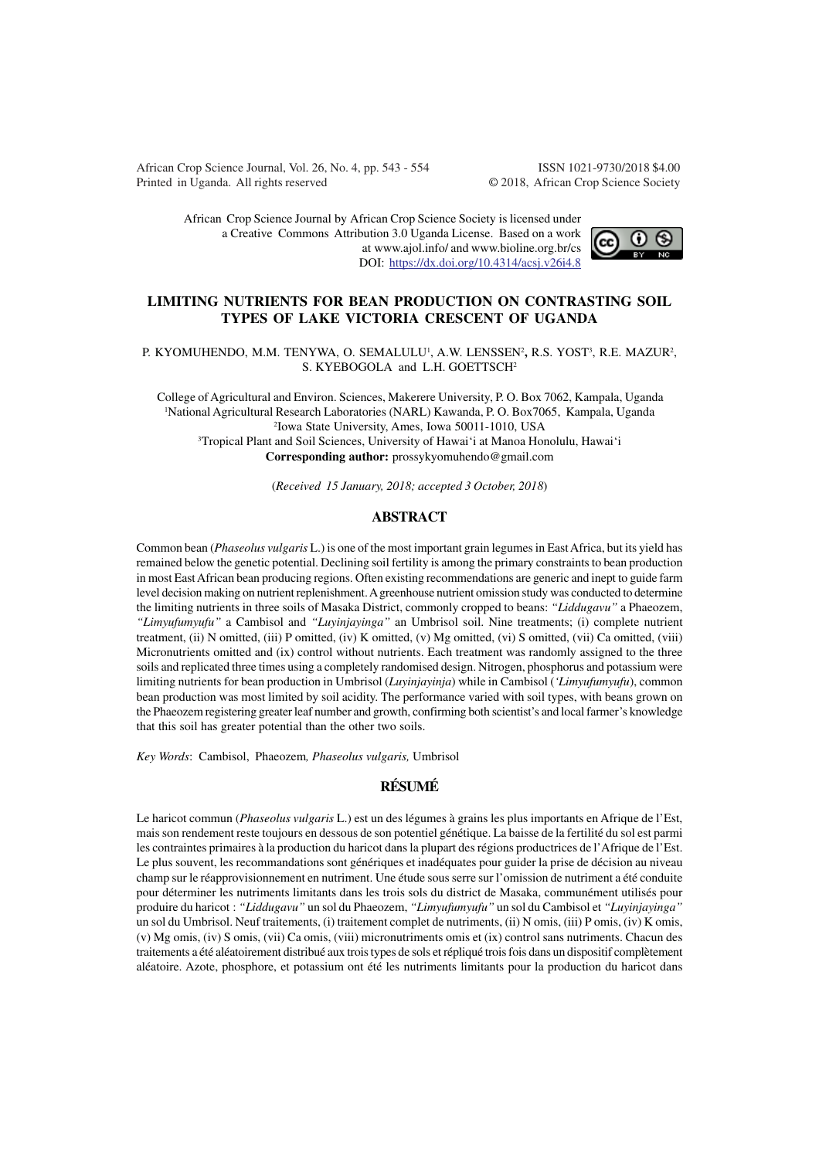African Crop Science Journal, Vol. 26, No. 4, pp. 543 - 554 ISSN 1021-9730/2018 \$4.00 Printed in Uganda. All rights reserved © 2018, African Crop Science Society

African Crop Science Journal by African Crop Science Society is licensed under a Creative Commons Attribution 3.0 Uganda License. Based on a work at www.ajol.info/ and www.bioline.org.br/cs DOI: https://dx.doi.org/10.4314/acsj.v26i4.8



### **LIMITING NUTRIENTS FOR BEAN PRODUCTION ON CONTRASTING SOIL TYPES OF LAKE VICTORIA CRESCENT OF UGANDA**

P. KYOMUHENDO, M.M. TENYWA, O. SEMALULU<sup>1</sup>, A.W. LENSSEN<sup>2</sup>, R.S. YOST<sup>3</sup>, R.E. MAZUR<sup>2</sup>, S. KYEBOGOLA and L.H. GOETTSCH<sup>2</sup>

College of Agricultural and Environ. Sciences, Makerere University, P. O. Box 7062, Kampala, Uganda <sup>1</sup>National Agricultural Research Laboratories (NARL) Kawanda, P. O. Box7065, Kampala, Uganda 2 Iowa State University, Ames, Iowa 50011-1010, USA <sup>3</sup>Tropical Plant and Soil Sciences, University of Hawai'i at Manoa Honolulu, Hawai'i **Corresponding author:** prossykyomuhendo@gmail.com

(*Received 15 January, 2018; accepted 3 October, 2018*)

#### **ABSTRACT**

Common bean (*Phaseolus vulgaris* L.) is one of the most important grain legumes in East Africa, but its yield has remained below the genetic potential. Declining soil fertility is among the primary constraints to bean production in most East African bean producing regions. Often existing recommendations are generic and inept to guide farm level decision making on nutrient replenishment. A greenhouse nutrient omission study was conducted to determine the limiting nutrients in three soils of Masaka District, commonly cropped to beans: *"Liddugavu"* a Phaeozem, *"Limyufumyufu"* a Cambisol and *"Luyinjayinga"* an Umbrisol soil. Nine treatments; (i) complete nutrient treatment, (ii) N omitted, (iii) P omitted, (iv) K omitted, (v) Mg omitted, (vi) S omitted, (vii) Ca omitted, (viii) Micronutrients omitted and (ix) control without nutrients. Each treatment was randomly assigned to the three soils and replicated three times using a completely randomised design. Nitrogen, phosphorus and potassium were limiting nutrients for bean production in Umbrisol (*Luyinjayinja*) while in Cambisol (*'Limyufumyufu*), common bean production was most limited by soil acidity. The performance varied with soil types, with beans grown on the Phaeozem registering greater leaf number and growth, confirming both scientist's and local farmer's knowledge that this soil has greater potential than the other two soils.

*Key Words*: Cambisol, Phaeozem*, Phaseolus vulgaris,* Umbrisol

# **RÉSUMÉ**

Le haricot commun (*Phaseolus vulgaris* L.) est un des légumes à grains les plus importants en Afrique de l'Est, mais son rendement reste toujours en dessous de son potentiel génétique. La baisse de la fertilité du sol est parmi les contraintes primaires à la production du haricot dans la plupart des régions productrices de l'Afrique de l'Est. Le plus souvent, les recommandations sont génériques et inadéquates pour guider la prise de décision au niveau champ sur le réapprovisionnement en nutriment. Une étude sous serre sur l'omission de nutriment a été conduite pour déterminer les nutriments limitants dans les trois sols du district de Masaka, communément utilisés pour produire du haricot : *"Liddugavu"* un sol du Phaeozem, *"Limyufumyufu"* un sol du Cambisol et *"Luyinjayinga"* un sol du Umbrisol. Neuf traitements, (i) traitement complet de nutriments, (ii) N omis, (iii) P omis, (iv) K omis, (v) Mg omis, (iv) S omis, (vii) Ca omis, (viii) micronutriments omis et (ix) control sans nutriments. Chacun des traitements a été aléatoirement distribué aux trois types de sols et répliqué trois fois dans un dispositif complètement aléatoire. Azote, phosphore, et potassium ont été les nutriments limitants pour la production du haricot dans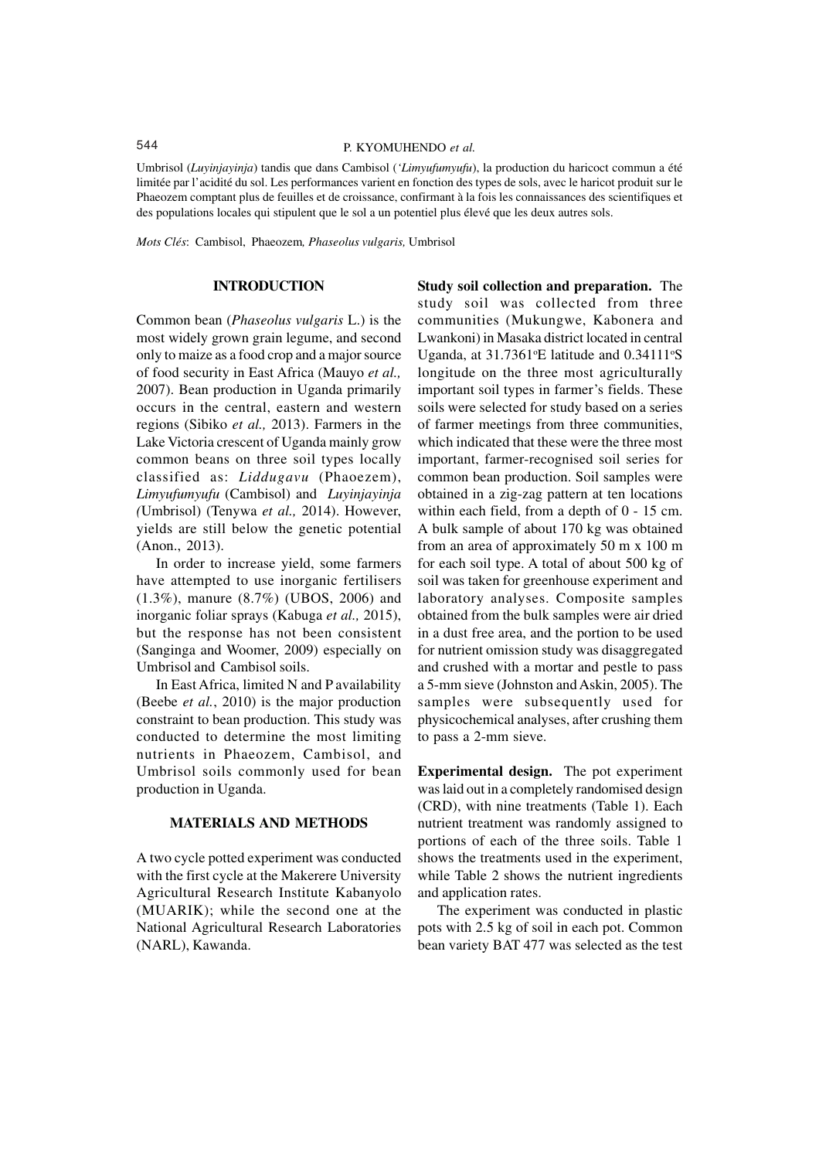Umbrisol (*Luyinjayinja*) tandis que dans Cambisol (*'Limyufumyufu*), la production du haricoct commun a été limitée par l'acidité du sol. Les performances varient en fonction des types de sols, avec le haricot produit sur le Phaeozem comptant plus de feuilles et de croissance, confirmant à la fois les connaissances des scientifiques et des populations locales qui stipulent que le sol a un potentiel plus élevé que les deux autres sols.

*Mots Clés*: Cambisol, Phaeozem*, Phaseolus vulgaris,* Umbrisol

## **INTRODUCTION**

Common bean (*Phaseolus vulgaris* L.) is the most widely grown grain legume, and second only to maize as a food crop and a major source of food security in East Africa (Mauyo *et al.,* 2007). Bean production in Uganda primarily occurs in the central, eastern and western regions (Sibiko *et al.,* 2013). Farmers in the Lake Victoria crescent of Uganda mainly grow common beans on three soil types locally classified as: *Liddugavu* (Phaoezem), *Limyufumyufu* (Cambisol) and *Luyinjayinja (*Umbrisol) (Tenywa *et al.,* 2014). However, yields are still below the genetic potential (Anon., 2013).

In order to increase yield, some farmers have attempted to use inorganic fertilisers (1.3%), manure (8.7%) (UBOS, 2006) and inorganic foliar sprays (Kabuga *et al.,* 2015), but the response has not been consistent (Sanginga and Woomer, 2009) especially on Umbrisol and Cambisol soils.

In East Africa, limited N and P availability (Beebe *et al.*, 2010) is the major production constraint to bean production. This study was conducted to determine the most limiting nutrients in Phaeozem, Cambisol, and Umbrisol soils commonly used for bean production in Uganda.

# **MATERIALS AND METHODS**

A two cycle potted experiment was conducted with the first cycle at the Makerere University Agricultural Research Institute Kabanyolo (MUARIK); while the second one at the National Agricultural Research Laboratories (NARL), Kawanda.

**Study soil collection and preparation.** The study soil was collected from three communities (Mukungwe, Kabonera and Lwankoni) in Masaka district located in central Uganda, at  $31.7361$ °E latitude and  $0.34111$ °S longitude on the three most agriculturally important soil types in farmer's fields. These soils were selected for study based on a series of farmer meetings from three communities, which indicated that these were the three most important, farmer-recognised soil series for common bean production. Soil samples were obtained in a zig-zag pattern at ten locations within each field, from a depth of 0 - 15 cm. A bulk sample of about 170 kg was obtained from an area of approximately 50 m x 100 m for each soil type. A total of about 500 kg of soil was taken for greenhouse experiment and laboratory analyses. Composite samples obtained from the bulk samples were air dried in a dust free area, and the portion to be used for nutrient omission study was disaggregated and crushed with a mortar and pestle to pass a 5-mm sieve (Johnston and Askin, 2005). The samples were subsequently used for physicochemical analyses, after crushing them to pass a 2-mm sieve.

**Experimental design.** The pot experiment was laid out in a completely randomised design (CRD), with nine treatments (Table 1). Each nutrient treatment was randomly assigned to portions of each of the three soils. Table 1 shows the treatments used in the experiment, while Table 2 shows the nutrient ingredients and application rates.

The experiment was conducted in plastic pots with 2.5 kg of soil in each pot. Common bean variety BAT 477 was selected as the test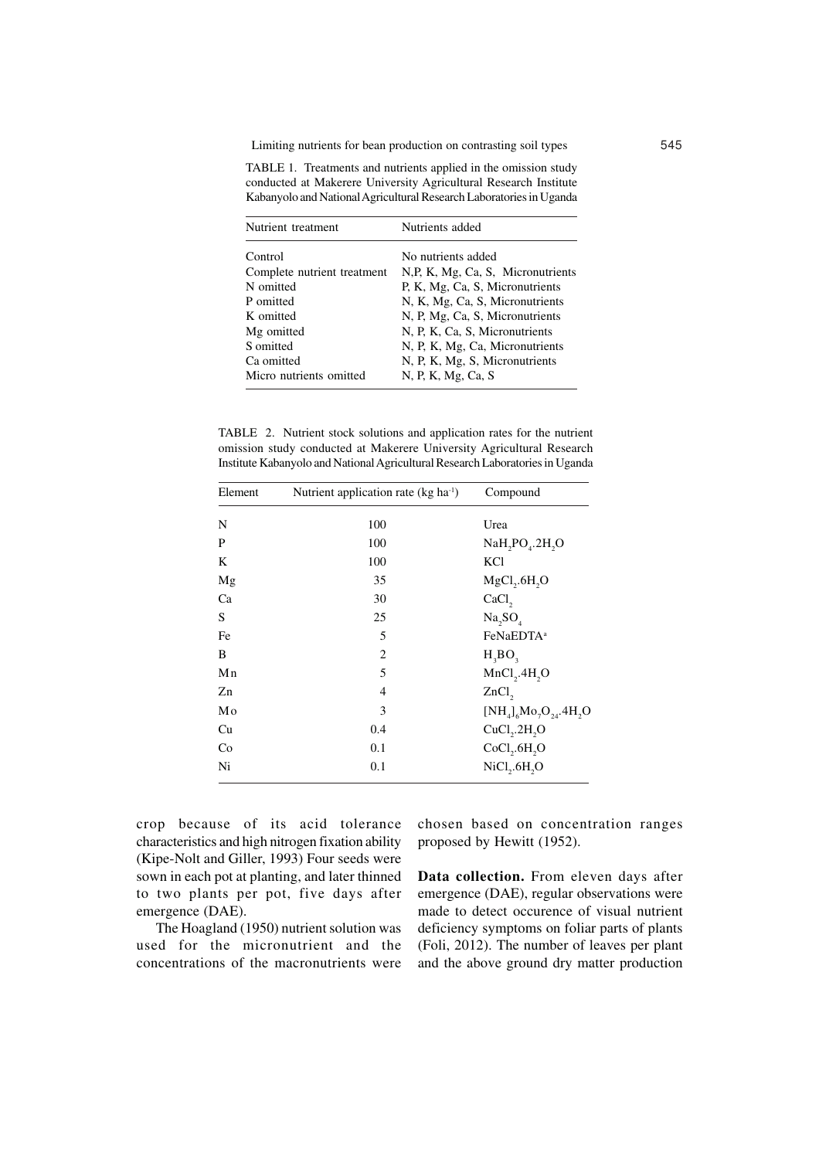Limiting nutrients for bean production on contrasting soil types 545

TABLE 1. Treatments and nutrients applied in the omission study conducted at Makerere University Agricultural Research Institute Kabanyolo and National Agricultural Research Laboratories in Uganda

| Nutrient treatment          | Nutrients added                   |
|-----------------------------|-----------------------------------|
| Control                     | No nutrients added                |
| Complete nutrient treatment | N,P, K, Mg, Ca, S, Micronutrients |
| N omitted                   | P, K, Mg, Ca, S, Micronutrients   |
| P omitted                   | N, K, Mg, Ca, S, Micronutrients   |
| K omitted                   | N, P, Mg, Ca, S, Micronutrients   |
| Mg omitted                  | N, P, K, Ca, S, Micronutrients    |
| S omitted                   | N, P, K, Mg, Ca, Micronutrients   |
| Ca omitted                  | N, P, K, Mg, S, Micronutrients    |
| Micro nutrients omitted     | N, P, K, Mg, Ca, S                |

TABLE 2. Nutrient stock solutions and application rates for the nutrient omission study conducted at Makerere University Agricultural Research Institute Kabanyolo and National Agricultural Research Laboratories in Uganda

| Element | Nutrient application rate (kg ha <sup>-1</sup> ) | Compound                             |
|---------|--------------------------------------------------|--------------------------------------|
| N       | 100                                              | Urea                                 |
| P       | 100                                              | NaH, PO <sub>4</sub> .2H, O          |
| K       | 100                                              | KCl                                  |
| Mg      | 35                                               | MgCl, 6H, O                          |
| Ca      | 30                                               | CaCl <sub>2</sub>                    |
| S       | 25                                               | Na, SO <sub>4</sub>                  |
| Fe      | 5                                                | FeNaEDTA <sup>a</sup>                |
| B       | $\overline{c}$                                   | $H_3BO_3$                            |
| Mn      | 5                                                | MnCl <sub>2</sub> .4H <sub>2</sub> O |
| Zn      | $\overline{4}$                                   | $ZnCl$ ,                             |
| Mo      | 3                                                | $[NH_4]_6M_9O_{24}AH_{2}O$           |
| Cu      | 0.4                                              | CuCl <sub>2</sub> .2H <sub>2</sub> O |
| Co      | 0.1                                              | CoCl <sub>2</sub> .6H <sub>2</sub> O |
| Ni      | 0.1                                              | NiCl <sub>2</sub> .6H <sub>2</sub> O |

crop because of its acid tolerance characteristics and high nitrogen fixation ability (Kipe-Nolt and Giller, 1993) Four seeds were sown in each pot at planting, and later thinned to two plants per pot, five days after emergence (DAE).

The Hoagland (1950) nutrient solution was used for the micronutrient and the concentrations of the macronutrients were chosen based on concentration ranges proposed by Hewitt (1952).

**Data collection.** From eleven days after emergence (DAE), regular observations were made to detect occurence of visual nutrient deficiency symptoms on foliar parts of plants (Foli, 2012). The number of leaves per plant and the above ground dry matter production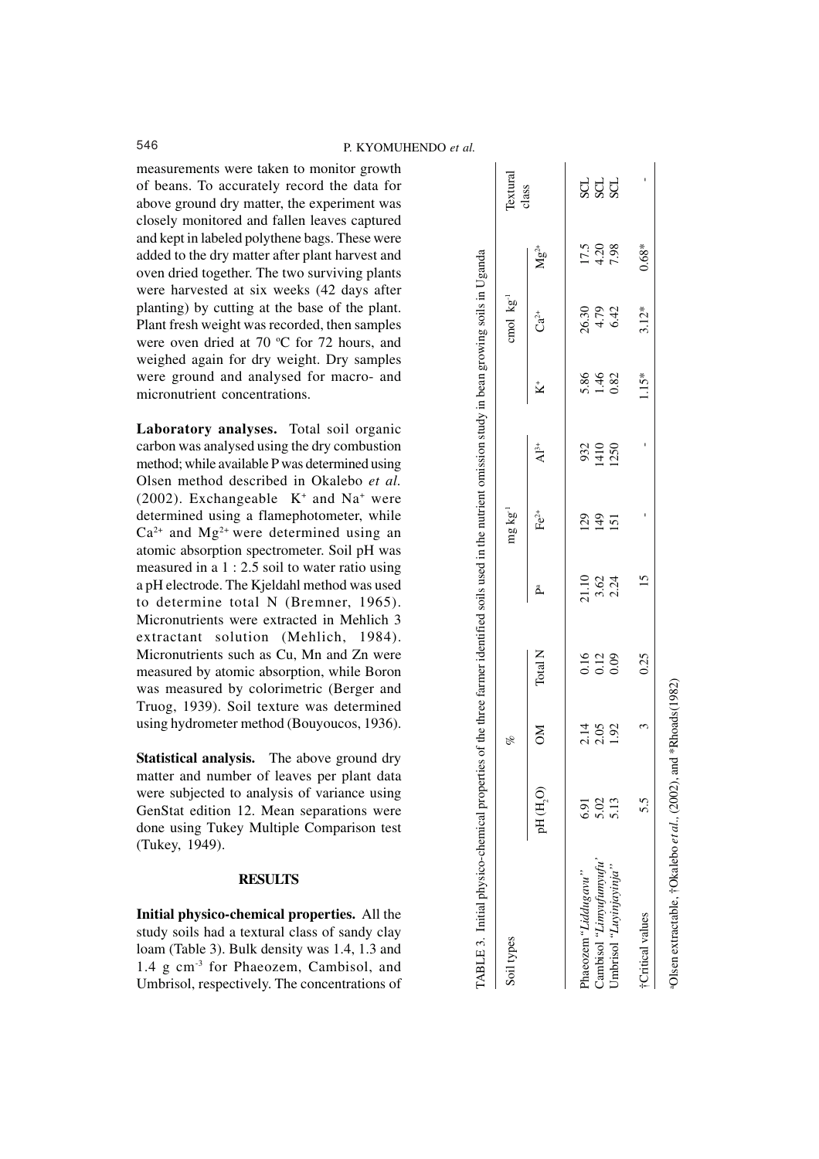measurements were taken to monitor growth of beans. To accurately record the data for above ground dry matter, the experiment was closely monitored and fallen leaves captured and kept in labeled polythene bags. These were added to the dry matter after plant harvest and oven dried together. The two surviving plants were harvested at six weeks (42 days after planting) by cutting at the base of the plant. Plant fresh weight was recorded, then samples were oven dried at 70  $\degree$ C for 72 hours, and weighed again for dry weight. Dry samples were ground and analysed for macro- and micronutrient concentrations.

**Laboratory analyses.** Total soil organic carbon was analysed using the dry combustion method; while available P was determined using Olsen method described in Okalebo *et al.*  $(2002)$ . Exchangeable  $K<sup>+</sup>$  and Na<sup>+</sup> were determined using a flamephotometer, while  $Ca^{2+}$  and  $Mg^{2+}$  were determined using an atomic absorption spectrometer. Soil pH was measured in a 1 : 2.5 soil to water ratio using a pH electrode. The Kjeldahl method was used to determine total N (Bremner, 1965). Micronutrients were extracted in Mehlich 3 extractant solution (Mehlich, 1984). Micronutrients such as Cu, Mn and Zn were measured by atomic absorption, while Boron was measured by colorimetric (Berger and Truog, 1939). Soil texture was determined using hydrometer method (Bouyoucos, 1936).

**Statistical analysis.** The above ground dry matter and number of leaves per plant data were subjected to analysis of variance using GenStat edition 12. Mean separations were done using Tukey Multiple Comparison test (Tukey, 1949).

## **RESULTS**

**Initial physico-chemical properties.** All the study soils had a textural class of sandy clay loam (Table 3). Bulk density was 1.4, 1.3 and 1.4 g cm-3 for Phaeozem, Cambisol, and Umbrisol, respectively. The concentrations of

| Soil types              |             | of                   |                                                     |                       | $mg\,kg^{-1}$ |                         |                      | cmol kg <sup>-1</sup> |                                                     | Textural<br>class |
|-------------------------|-------------|----------------------|-----------------------------------------------------|-----------------------|---------------|-------------------------|----------------------|-----------------------|-----------------------------------------------------|-------------------|
|                         | pH (H,O)    | MO                   | Total N                                             | Å,                    | $Fe2+$        | $\mathrm{Al}^{3+}$      | $\ddot{\mathbf{z}}$  | $Ca^{2+}$             | $Mg^{2+}$                                           |                   |
| "haeozem"Liddugavu      | <b>6.31</b> |                      |                                                     |                       |               |                         |                      |                       |                                                     |                   |
| Cambisol 'Limyufumyufu' | 5.02        | 2.15<br>2.05<br>1.92 | $\begin{array}{c} 0.16 \\ 0.12 \\ 0.09 \end{array}$ | 21.10<br>3.62<br>2.24 | 129<br>149    | $320$<br>$140$<br>$125$ | 5.86<br>1.46<br>0.82 | 26.30<br>4.79<br>6.42 | $\begin{array}{c} 17.5 \\ 4.20 \\ 7.98 \end{array}$ | ಕ್ಷ ಕ್ಷ           |
| Umbrisol "Luyinjayinja" | 5.13        |                      |                                                     |                       | 151           |                         |                      |                       |                                                     |                   |
| †Critical values        | 5.5         |                      | 0.25                                                | $\frac{5}{1}$         |               |                         | 1.15*                | $3.12*$               | $0.68*$                                             |                   |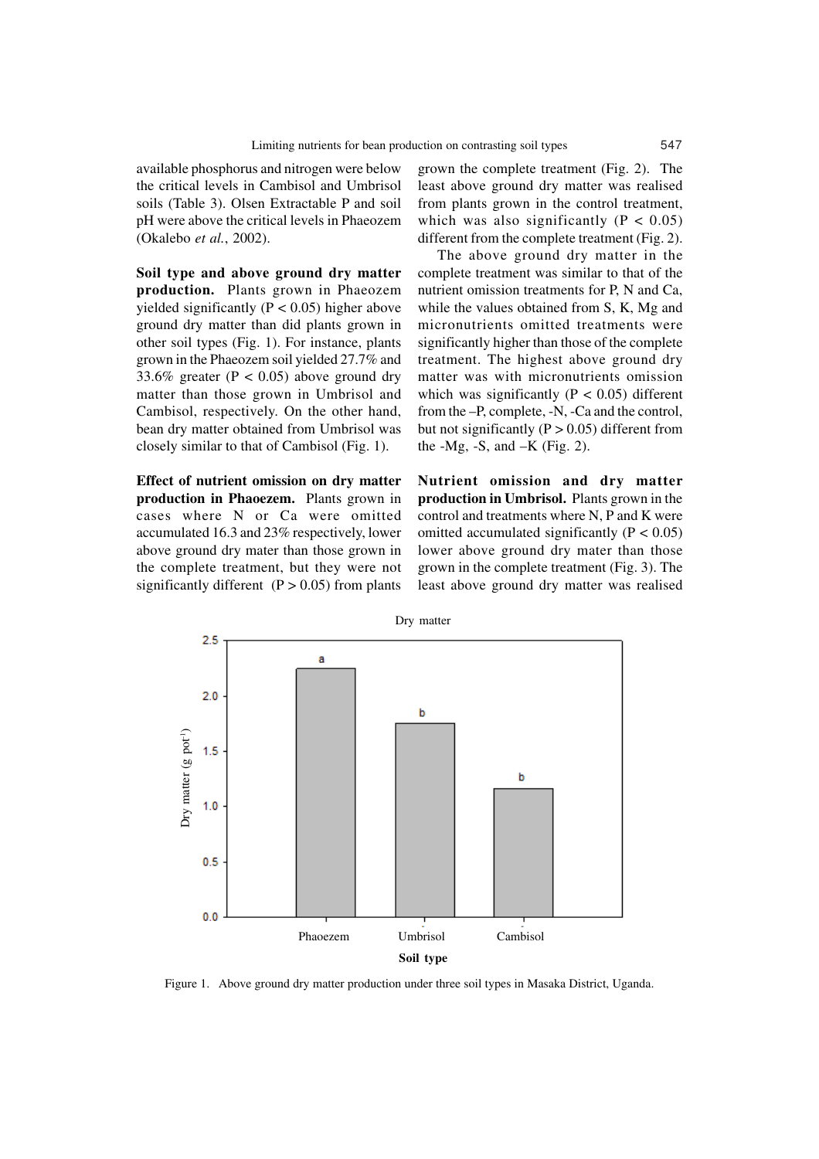available phosphorus and nitrogen were below the critical levels in Cambisol and Umbrisol soils (Table 3). Olsen Extractable P and soil pH were above the critical levels in Phaeozem (Okalebo *et al.*, 2002).

**Soil type and above ground dry matter production.** Plants grown in Phaeozem yielded significantly ( $P < 0.05$ ) higher above ground dry matter than did plants grown in other soil types (Fig. 1). For instance, plants grown in the Phaeozem soil yielded 27.7% and 33.6% greater ( $P < 0.05$ ) above ground dry matter than those grown in Umbrisol and Cambisol, respectively. On the other hand, bean dry matter obtained from Umbrisol was closely similar to that of Cambisol (Fig. 1).

**Effect of nutrient omission on dry matter production in Phaoezem.** Plants grown in cases where N or Ca were omitted accumulated 16.3 and 23% respectively, lower above ground dry mater than those grown in the complete treatment, but they were not significantly different  $(P > 0.05)$  from plants

grown the complete treatment (Fig. 2). The least above ground dry matter was realised from plants grown in the control treatment, which was also significantly  $(P < 0.05)$ different from the complete treatment (Fig. 2).

The above ground dry matter in the complete treatment was similar to that of the nutrient omission treatments for P, N and Ca, while the values obtained from S, K, Mg and micronutrients omitted treatments were significantly higher than those of the complete treatment. The highest above ground dry matter was with micronutrients omission which was significantly ( $P < 0.05$ ) different from the –P, complete, -N, -Ca and the control, but not significantly ( $P > 0.05$ ) different from the  $-Mg$ ,  $-S$ , and  $-K$  (Fig. 2).

**Nutrient omission and dry matter production in Umbrisol.** Plants grown in the control and treatments where N, P and K were omitted accumulated significantly  $(P < 0.05)$ lower above ground dry mater than those grown in the complete treatment (Fig. 3). The least above ground dry matter was realised



Figure 1. Above ground dry matter production under three soil types in Masaka District, Uganda.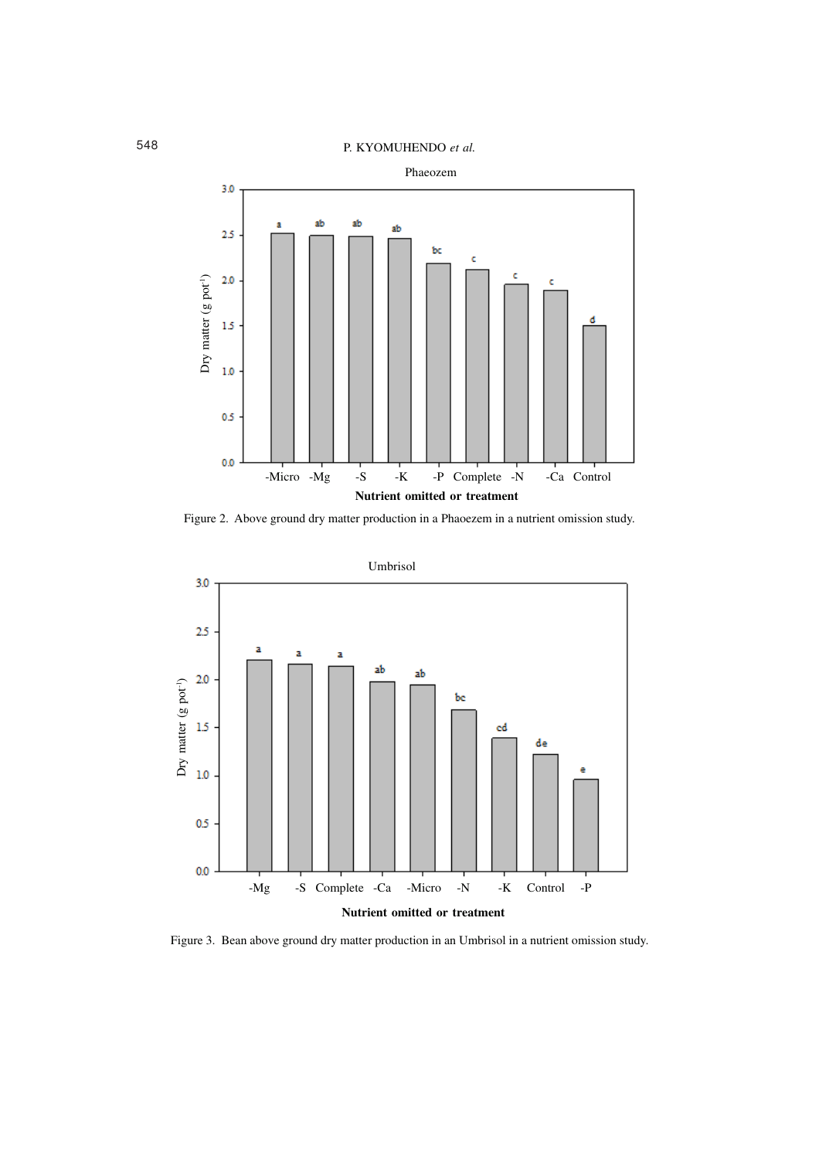

Figure 2. Above ground dry matter production in a Phaoezem in a nutrient omission study.



Figure 3. Bean above ground dry matter production in an Umbrisol in a nutrient omission study.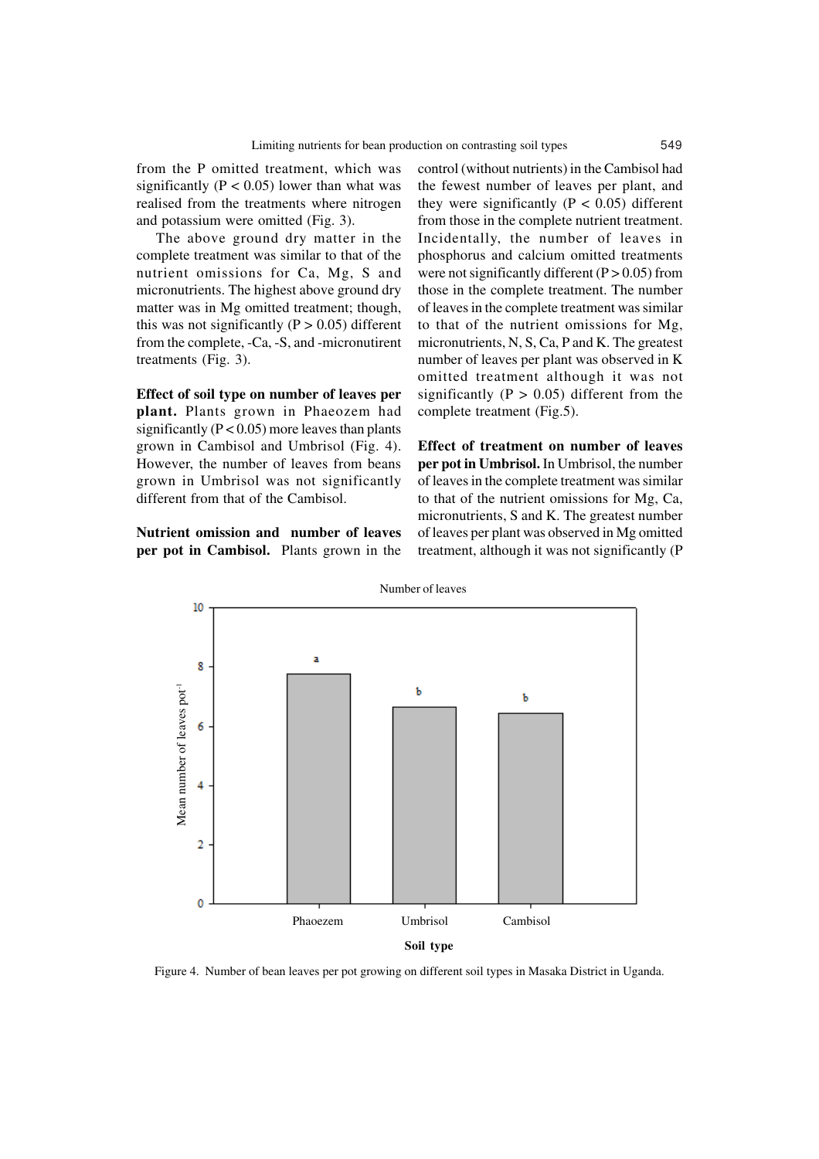from the P omitted treatment, which was significantly ( $P < 0.05$ ) lower than what was realised from the treatments where nitrogen and potassium were omitted (Fig. 3).

The above ground dry matter in the complete treatment was similar to that of the nutrient omissions for Ca, Mg, S and micronutrients. The highest above ground dry matter was in Mg omitted treatment; though, this was not significantly  $(P > 0.05)$  different from the complete, -Ca, -S, and -micronutirent treatments (Fig. 3).

**Effect of soil type on number of leaves per plant.** Plants grown in Phaeozem had significantly ( $P < 0.05$ ) more leaves than plants grown in Cambisol and Umbrisol (Fig. 4). However, the number of leaves from beans grown in Umbrisol was not significantly different from that of the Cambisol.

**Nutrient omission and number of leaves per pot in Cambisol.** Plants grown in the

control (without nutrients) in the Cambisol had the fewest number of leaves per plant, and they were significantly  $(P < 0.05)$  different from those in the complete nutrient treatment. Incidentally, the number of leaves in phosphorus and calcium omitted treatments were not significantly different  $(P > 0.05)$  from those in the complete treatment. The number of leaves in the complete treatment was similar to that of the nutrient omissions for Mg, micronutrients, N, S, Ca, P and K. The greatest number of leaves per plant was observed in K omitted treatment although it was not significantly ( $P > 0.05$ ) different from the complete treatment (Fig.5).

**Effect of treatment on number of leaves per pot in Umbrisol.** In Umbrisol, the number of leaves in the complete treatment was similar to that of the nutrient omissions for Mg, Ca, micronutrients, S and K. The greatest number of leaves per plant was observed in Mg omitted treatment, although it was not significantly (P



Figure 4. Number of bean leaves per pot growing on different soil types in Masaka District in Uganda.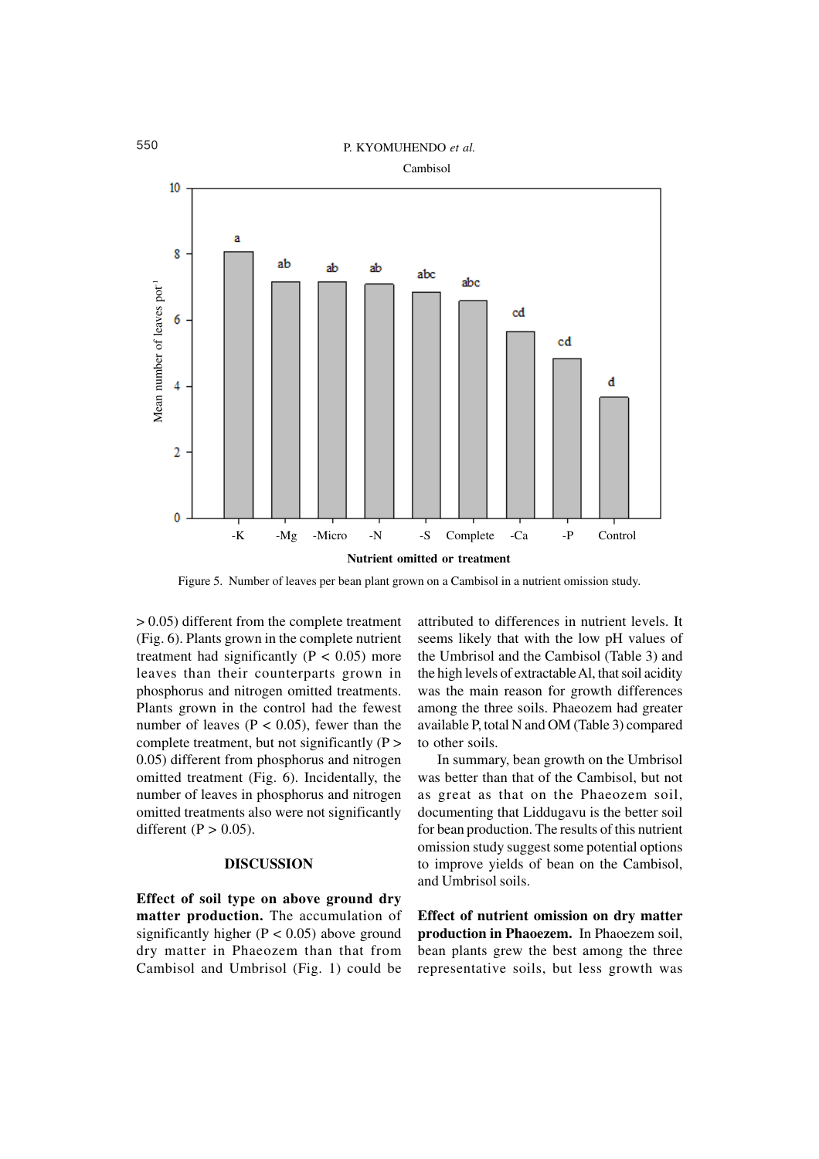

Figure 5. Number of leaves per bean plant grown on a Cambisol in a nutrient omission study.

> 0.05) different from the complete treatment (Fig. 6). Plants grown in the complete nutrient treatment had significantly ( $P < 0.05$ ) more leaves than their counterparts grown in phosphorus and nitrogen omitted treatments. Plants grown in the control had the fewest number of leaves ( $P < 0.05$ ), fewer than the complete treatment, but not significantly (P > 0.05) different from phosphorus and nitrogen omitted treatment (Fig. 6). Incidentally, the number of leaves in phosphorus and nitrogen omitted treatments also were not significantly different ( $P > 0.05$ ).

## **DISCUSSION**

**Effect of soil type on above ground dry matter production.** The accumulation of significantly higher ( $P < 0.05$ ) above ground dry matter in Phaeozem than that from Cambisol and Umbrisol (Fig. 1) could be

attributed to differences in nutrient levels. It seems likely that with the low pH values of the Umbrisol and the Cambisol (Table 3) and the high levels of extractable Al, that soil acidity was the main reason for growth differences among the three soils. Phaeozem had greater available P, total N and OM (Table 3) compared to other soils.

In summary, bean growth on the Umbrisol was better than that of the Cambisol, but not as great as that on the Phaeozem soil, documenting that Liddugavu is the better soil for bean production. The results of this nutrient omission study suggest some potential options to improve yields of bean on the Cambisol, and Umbrisol soils.

**Effect of nutrient omission on dry matter production in Phaoezem.** In Phaoezem soil, bean plants grew the best among the three representative soils, but less growth was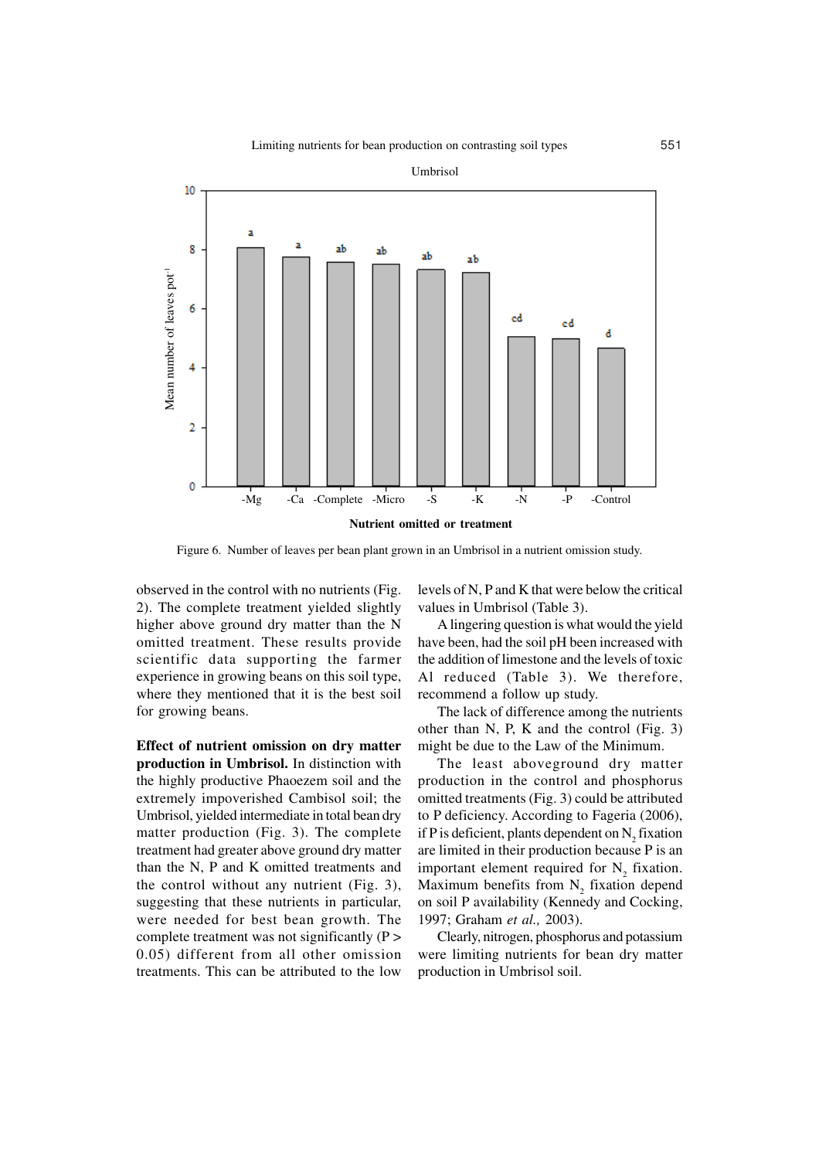![](_page_8_Figure_1.jpeg)

Figure 6. Number of leaves per bean plant grown in an Umbrisol in a nutrient omission study.

observed in the control with no nutrients (Fig. 2). The complete treatment yielded slightly higher above ground dry matter than the N omitted treatment. These results provide scientific data supporting the farmer experience in growing beans on this soil type, where they mentioned that it is the best soil for growing beans.

**Effect of nutrient omission on dry matter production in Umbrisol.** In distinction with the highly productive Phaoezem soil and the extremely impoverished Cambisol soil; the Umbrisol, yielded intermediate in total bean dry matter production (Fig. 3). The complete treatment had greater above ground dry matter than the N, P and K omitted treatments and the control without any nutrient (Fig. 3), suggesting that these nutrients in particular, were needed for best bean growth. The complete treatment was not significantly (P > 0.05) different from all other omission treatments. This can be attributed to the low

levels of N, P and K that were below the critical values in Umbrisol (Table 3).

A lingering question is what would the yield have been, had the soil pH been increased with the addition of limestone and the levels of toxic Al reduced (Table 3). We therefore, recommend a follow up study.

The lack of difference among the nutrients other than N, P, K and the control (Fig. 3) might be due to the Law of the Minimum.

The least aboveground dry matter production in the control and phosphorus omitted treatments (Fig. 3) could be attributed to P deficiency. According to Fageria (2006), if P is deficient, plants dependent on  $N_2$  fixation are limited in their production because P is an important element required for  $N_2$  fixation. Maximum benefits from  $N_2$  fixation depend on soil P availability (Kennedy and Cocking, 1997; Graham *et al.,* 2003).

Clearly, nitrogen, phosphorus and potassium were limiting nutrients for bean dry matter production in Umbrisol soil.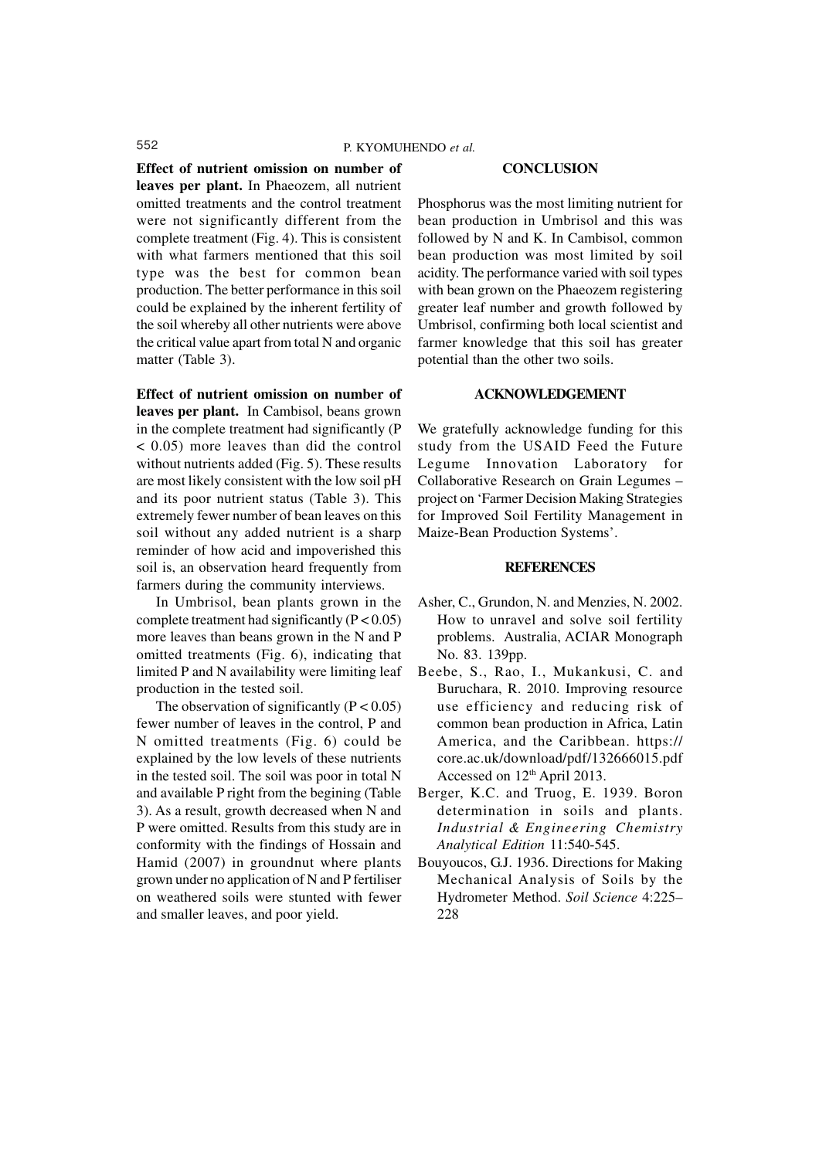#### **Effect of nutrient omission on number of**

**leaves per plant.** In Phaeozem, all nutrient omitted treatments and the control treatment were not significantly different from the complete treatment (Fig. 4). This is consistent with what farmers mentioned that this soil type was the best for common bean production. The better performance in this soil could be explained by the inherent fertility of the soil whereby all other nutrients were above the critical value apart from total N and organic matter (Table 3).

**Effect of nutrient omission on number of leaves per plant.** In Cambisol, beans grown in the complete treatment had significantly (P < 0.05) more leaves than did the control without nutrients added (Fig. 5). These results are most likely consistent with the low soil pH and its poor nutrient status (Table 3). This extremely fewer number of bean leaves on this soil without any added nutrient is a sharp reminder of how acid and impoverished this soil is, an observation heard frequently from farmers during the community interviews.

In Umbrisol, bean plants grown in the complete treatment had significantly  $(P < 0.05)$ more leaves than beans grown in the N and P omitted treatments (Fig. 6), indicating that limited P and N availability were limiting leaf production in the tested soil.

The observation of significantly  $(P < 0.05)$ fewer number of leaves in the control, P and N omitted treatments (Fig. 6) could be explained by the low levels of these nutrients in the tested soil. The soil was poor in total N and available P right from the begining (Table 3). As a result, growth decreased when N and P were omitted. Results from this study are in conformity with the findings of Hossain and Hamid (2007) in groundnut where plants grown under no application of N and P fertiliser on weathered soils were stunted with fewer and smaller leaves, and poor yield.

#### **CONCLUSION**

Phosphorus was the most limiting nutrient for bean production in Umbrisol and this was followed by N and K. In Cambisol, common bean production was most limited by soil acidity. The performance varied with soil types with bean grown on the Phaeozem registering greater leaf number and growth followed by Umbrisol, confirming both local scientist and farmer knowledge that this soil has greater potential than the other two soils.

## **ACKNOWLEDGEMENT**

We gratefully acknowledge funding for this study from the USAID Feed the Future Legume Innovation Laboratory for Collaborative Research on Grain Legumes – project on 'Farmer Decision Making Strategies for Improved Soil Fertility Management in Maize-Bean Production Systems'.

### **REFERENCES**

- Asher, C., Grundon, N. and Menzies, N. 2002. How to unravel and solve soil fertility problems. Australia, ACIAR Monograph No. 83. 139pp.
- Beebe, S., Rao, I., Mukankusi, C. and Buruchara, R. 2010. Improving resource use efficiency and reducing risk of common bean production in Africa, Latin America, and the Caribbean. https:// core.ac.uk/download/pdf/132666015.pdf Accessed on  $12<sup>th</sup>$  April 2013.
- Berger, K.C. and Truog, E. 1939. Boron determination in soils and plants. *Industrial & Engineering Chemistry Analytical Edition* 11:540-545.
- Bouyoucos, G.J. 1936. Directions for Making Mechanical Analysis of Soils by the Hydrometer Method. *Soil Science* 4:225– 228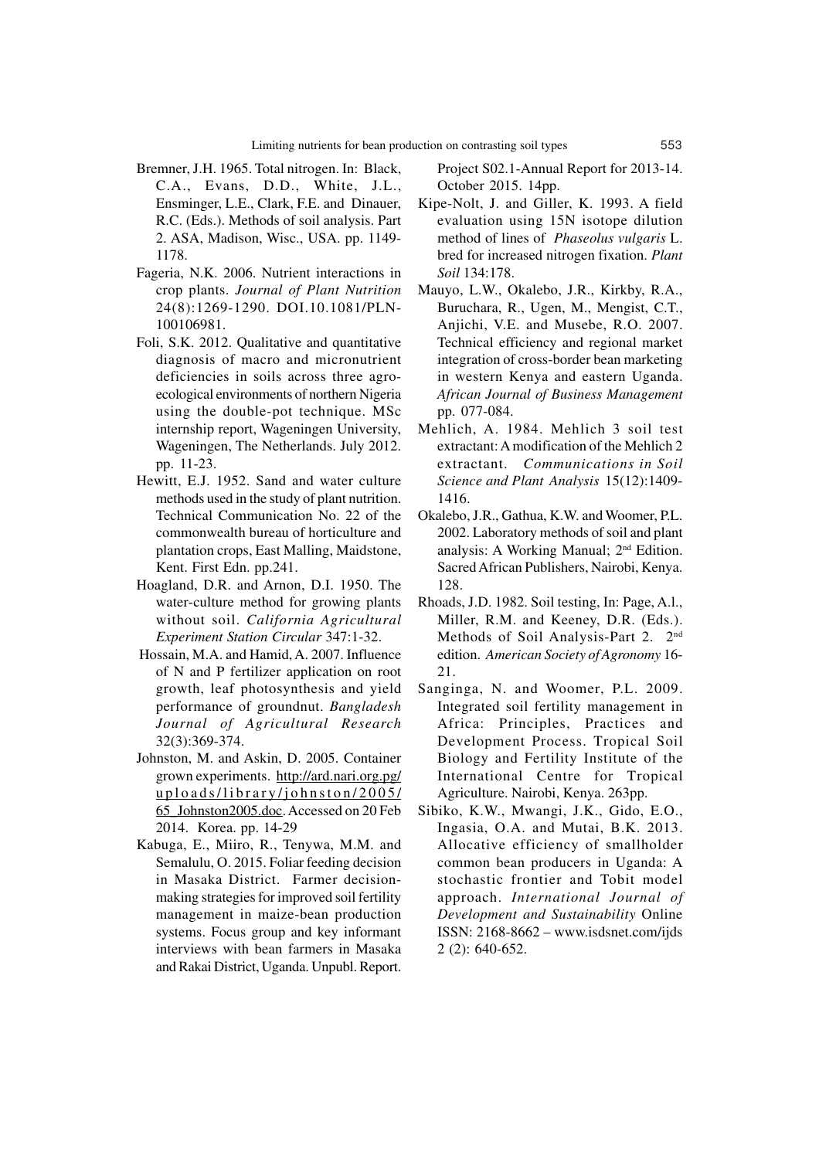- Bremner, J.H. 1965. Total nitrogen. In: Black, C.A., Evans, D.D., White, J.L., Ensminger, L.E., Clark, F.E. and Dinauer, R.C. (Eds.). Methods of soil analysis. Part 2. ASA, Madison, Wisc., USA. pp. 1149- 1178.
- Fageria, N.K. 2006. Nutrient interactions in crop plants. *Journal of Plant Nutrition* 24(8):1269-1290. DOI.10.1081/PLN-100106981.
- Foli, S.K. 2012. Qualitative and quantitative diagnosis of macro and micronutrient deficiencies in soils across three agroecological environments of northern Nigeria using the double-pot technique. MSc internship report, Wageningen University, Wageningen, The Netherlands. July 2012. pp. 11-23.
- Hewitt, E.J. 1952. Sand and water culture methods used in the study of plant nutrition. Technical Communication No. 22 of the commonwealth bureau of horticulture and plantation crops, East Malling, Maidstone, Kent. First Edn. pp.241.
- Hoagland, D.R. and Arnon, D.I. 1950. The water-culture method for growing plants without soil. *California Agricultural Experiment Station Circular* 347:1-32.
- Hossain, M.A. and Hamid, A. 2007. Influence of N and P fertilizer application on root growth, leaf photosynthesis and yield performance of groundnut. *Bangladesh Journal of Agricultural Research* 32(3):369-374.
- Johnston, M. and Askin, D. 2005. Container grown experiments. http://ard.nari.org.pg/ uploads/library/johnston/2005/ 65\_Johnston2005.doc. Accessed on 20 Feb 2014. Korea. pp. 14-29
- Kabuga, E., Miiro, R., Tenywa, M.M. and Semalulu, O. 2015. Foliar feeding decision in Masaka District. Farmer decisionmaking strategies for improved soil fertility management in maize-bean production systems. Focus group and key informant interviews with bean farmers in Masaka and Rakai District, Uganda. Unpubl. Report.

Project S02.1-Annual Report for 2013-14. October 2015. 14pp.

- Kipe-Nolt, J. and Giller, K. 1993. A field evaluation using 15N isotope dilution method of lines of *Phaseolus vulgaris* L. bred for increased nitrogen fixation. *Plant Soil* 134:178.
- Mauyo, L.W., Okalebo, J.R., Kirkby, R.A., Buruchara, R., Ugen, M., Mengist, C.T., Anjichi, V.E. and Musebe, R.O. 2007. Technical efficiency and regional market integration of cross-border bean marketing in western Kenya and eastern Uganda. *African Journal of Business Management* pp. 077-084.
- Mehlich, A. 1984. Mehlich 3 soil test extractant: A modification of the Mehlich 2 extractant. *Communications in Soil Science and Plant Analysis* 15(12):1409- 1416.
- Okalebo, J.R., Gathua, K.W. and Woomer, P.L. 2002. Laboratory methods of soil and plant analysis: A Working Manual; 2nd Edition. Sacred African Publishers, Nairobi, Kenya. 128.
- Rhoads, J.D. 1982. Soil testing, In: Page, A.l., Miller, R.M. and Keeney, D.R. (Eds.). Methods of Soil Analysis-Part 2. 2<sup>nd</sup> edition. *American Society of Agronomy* 16- 21.
- Sanginga, N. and Woomer, P.L. 2009. Integrated soil fertility management in Africa: Principles, Practices and Development Process. Tropical Soil Biology and Fertility Institute of the International Centre for Tropical Agriculture. Nairobi, Kenya. 263pp.
- Sibiko, K.W., Mwangi, J.K., Gido, E.O., Ingasia, O.A. and Mutai, B.K. 2013. Allocative efficiency of smallholder common bean producers in Uganda: A stochastic frontier and Tobit model approach. *International Journal of Development and Sustainability* Online ISSN: 2168-8662 – www.isdsnet.com/ijds 2 (2): 640-652.